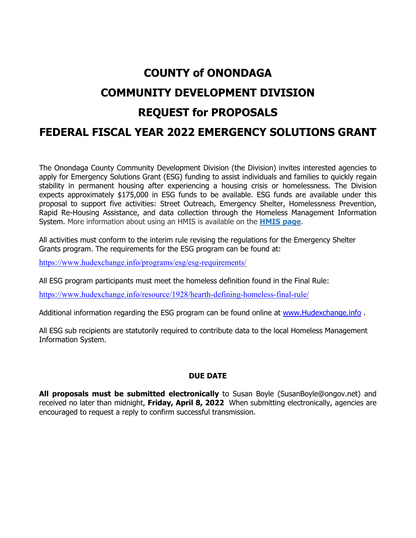# **COUNTY of ONONDAGA COMMUNITY DEVELOPMENT DIVISION REQUEST for PROPOSALS FEDERAL FISCAL YEAR 2022 EMERGENCY SOLUTIONS GRANT**

The Onondaga County Community Development Division (the Division) invites interested agencies to apply for Emergency Solutions Grant (ESG) funding to assist individuals and families to quickly regain stability in permanent housing after experiencing a housing crisis or homelessness. The Division expects approximately \$175,000 in ESG funds to be available. ESG funds are available under this proposal to support five activities: Street Outreach, Emergency Shelter, Homelessness Prevention, Rapid Re-Housing Assistance, and data collection through the Homeless Management Information System. More information about using an HMIS is available on the **HMIS page**.

All activities must conform to the interim rule revising the regulations for the Emergency Shelter Grants program. The requirements for the ESG program can be found at:

https://www.hudexchange.info/programs/esg/esg-requirements/

All ESG program participants must meet the homeless definition found in the Final Rule:

https://www.hudexchange.info/resource/1928/hearth-defining-homeless-final-rule/

Additional information regarding the ESG program can be found online at www.Hudexchange.info.

All ESG sub recipients are statutorily required to contribute data to the local Homeless Management Information System.

#### **DUE DATE**

**All proposals must be submitted electronically** to Susan Boyle (SusanBoyle@ongov.net) and received no later than midnight, **Friday, April 8, 2022** When submitting electronically, agencies are encouraged to request a reply to confirm successful transmission.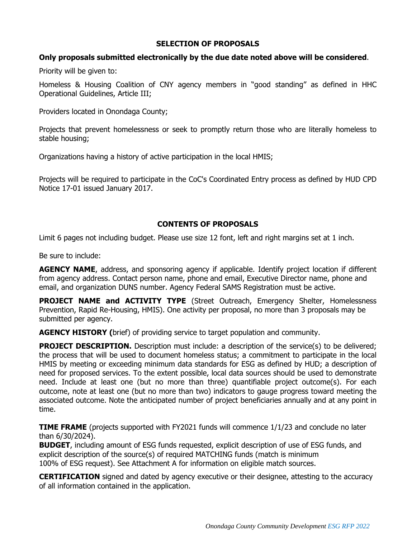# **SELECTION OF PROPOSALS**

## **Only proposals submitted electronically by the due date noted above will be considered**.

Priority will be given to:

Homeless & Housing Coalition of CNY agency members in "good standing" as defined in HHC Operational Guidelines, Article III;

Providers located in Onondaga County;

Projects that prevent homelessness or seek to promptly return those who are literally homeless to stable housing;

Organizations having a history of active participation in the local HMIS;

Projects will be required to participate in the CoC's Coordinated Entry process as defined by HUD CPD Notice 17-01 issued January 2017.

# **CONTENTS OF PROPOSALS**

Limit 6 pages not including budget. Please use size 12 font, left and right margins set at 1 inch.

Be sure to include:

**AGENCY NAME**, address, and sponsoring agency if applicable. Identify project location if different from agency address. Contact person name, phone and email, Executive Director name, phone and email, and organization DUNS number. Agency Federal SAMS Registration must be active.

**PROJECT NAME and ACTIVITY TYPE** (Street Outreach, Emergency Shelter, Homelessness Prevention, Rapid Re-Housing, HMIS). One activity per proposal, no more than 3 proposals may be submitted per agency.

**AGENCY HISTORY (**brief) of providing service to target population and community.

**PROJECT DESCRIPTION.** Description must include: a description of the service(s) to be delivered; the process that will be used to document homeless status; a commitment to participate in the local HMIS by meeting or exceeding minimum data standards for ESG as defined by HUD; a description of need for proposed services. To the extent possible, local data sources should be used to demonstrate need. Include at least one (but no more than three) quantifiable project outcome(s). For each outcome, note at least one (but no more than two) indicators to gauge progress toward meeting the associated outcome. Note the anticipated number of project beneficiaries annually and at any point in time.

**TIME FRAME** (projects supported with FY2021 funds will commence 1/1/23 and conclude no later than 6/30/2024).

**BUDGET**, including amount of ESG funds requested, explicit description of use of ESG funds, and explicit description of the source(s) of required MATCHING funds (match is minimum 100% of ESG request). See Attachment A for information on eligible match sources.

**CERTIFICATION** signed and dated by agency executive or their designee, attesting to the accuracy of all information contained in the application.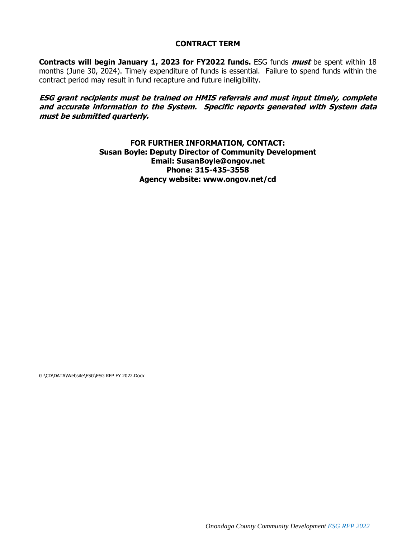#### **CONTRACT TERM**

**Contracts will begin January 1, 2023 for FY2022 funds.** ESG funds **must** be spent within 18 months (June 30, 2024). Timely expenditure of funds is essential. Failure to spend funds within the contract period may result in fund recapture and future ineligibility.

**ESG grant recipients must be trained on HMIS referrals and must input timely, complete and accurate information to the System. Specific reports generated with System data must be submitted quarterly.** 

> **FOR FURTHER INFORMATION, CONTACT: Susan Boyle: Deputy Director of Community Development Email: SusanBoyle@ongov.net Phone: 315-435-3558 Agency website: www.ongov.net/cd**

G:\CD\DATA\Website\ESG\ESG RFP FY 2022.Docx